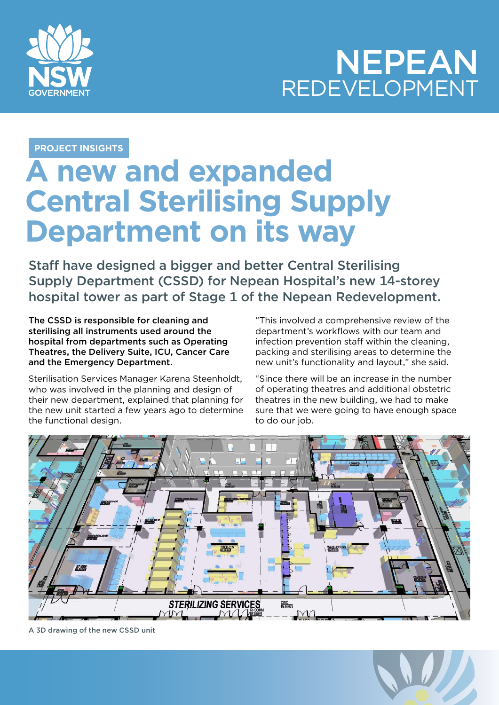

## NEPEAN REDEVELOPMENT

**PROJECT INSIGHTS**

## **A new and expanded Central Sterilising Supply Department on its way**

Staff have designed a bigger and better Central Sterilising Supply Department (CSSD) for Nepean Hospital's new 14-storey hospital tower as part of Stage 1 of the Nepean Redevelopment.

The CSSD is responsible for cleaning and sterilising all instruments used around the hospital from departments such as Operating Theatres, the Delivery Suite, ICU, Cancer Care and the Emergency Department.

Sterilisation Services Manager Karena Steenholdt, who was involved in the planning and design of their new department, explained that planning for the new unit started a few years ago to determine the functional design.

"This involved a comprehensive review of the department's workflows with our team and infection prevention staff within the cleaning, packing and sterilising areas to determine the new unit's functionality and layout," she said.

"Since there will be an increase in the number of operating theatres and additional obstetric theatres in the new building, we had to make sure that we were going to have enough space to do our job.



A 3D drawing of the new CSSD unit